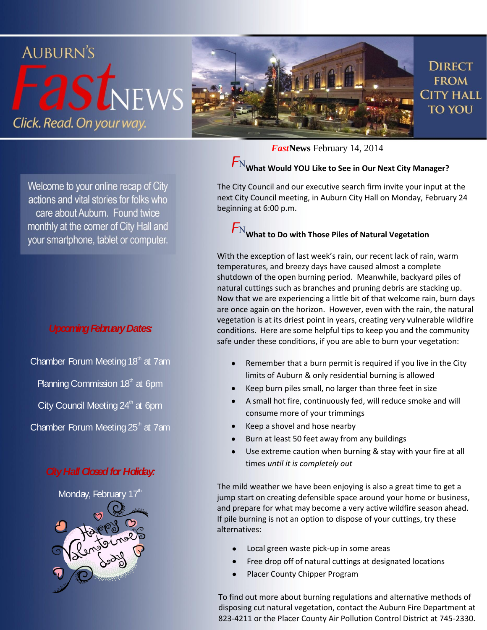

Welcome to your online recap of City actions and vital stories for folks who care about Auburn. Found twice monthly at the corner of City Hall and your smartphone, tablet or computer.

#### *Upcoming February Dates:*

Chamber Forum Meeting  $18<sup>th</sup>$  at 7am

**Planning Commission 18**<sup>th</sup> at 6pm

City Council Meeting  $24<sup>th</sup>$  at 6pm

Chamber Forum Meeting  $25<sup>th</sup>$  at 7am

#### *City Hall Closed for Holiday:*



*Fast***News** February 14, 2014

## $\overline{\mathsf{F}}_\text{N}$ What Would YOU Like to See in Our Next City Manager?

The City Council and our executive search firm invite your input at the next City Council meeting, in Auburn City Hall on Monday, February 24 beginning at 6:00 p.m.

## $F_{\rm N}$ What to Do with Those Piles of Natural Vegetation

With the exception of last week's rain, our recent lack of rain, warm temperatures, and breezy days have caused almost a complete shutdown of the open burning period. Meanwhile, backyard piles of natural cuttings such as branches and pruning debris are stacking up. Now that we are experiencing a little bit of that welcome rain, burn days are once again on the horizon. However, even with the rain, the natural vegetation is at its driest point in years, creating very vulnerable wildfire conditions. Here are some helpful tips to keep you and the community safe under these conditions, if you are able to burn your vegetation:

- Remember that a burn permit is required if you live in the City limits of Auburn & only residential burning is allowed
- Keep burn piles small, no larger than three feet in size
- A small hot fire, continuously fed, will reduce smoke and will  $\bullet$ consume more of your trimmings
- Keep a shovel and hose nearby
- Burn at least 50 feet away from any buildings
- Use extreme caution when burning & stay with your fire at all times *until it is completely out*

The mild weather we have been enjoying is also a great time to get a jump start on creating defensible space around your home or business, and prepare for what may become a very active wildfire season ahead. If pile burning is not an option to dispose of your cuttings, try these alternatives:

- Local green waste pick-up in some areas
- Free drop off of natural cuttings at designated locations
- Placer County Chipper Program

To find out more about burning regulations and alternative methods of disposing cut natural vegetation, contact the Auburn Fire Department at 823-4211 or the Placer County Air Pollution Control District at 745-2330.